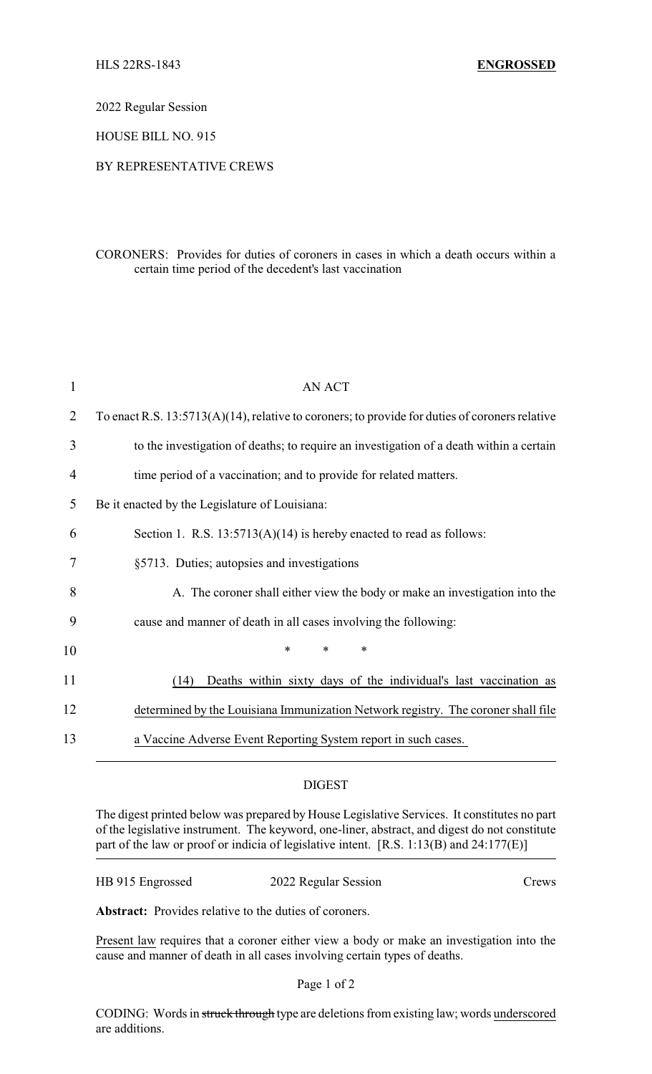2022 Regular Session

HOUSE BILL NO. 915

## BY REPRESENTATIVE CREWS

CORONERS: Provides for duties of coroners in cases in which a death occurs within a certain time period of the decedent's last vaccination

| 1  | <b>AN ACT</b>                                                                                     |
|----|---------------------------------------------------------------------------------------------------|
| 2  | To enact R.S. $13:5713(A)(14)$ , relative to coroners; to provide for duties of coroners relative |
| 3  | to the investigation of deaths; to require an investigation of a death within a certain           |
| 4  | time period of a vaccination; and to provide for related matters.                                 |
| 5  | Be it enacted by the Legislature of Louisiana:                                                    |
| 6  | Section 1. R.S. $13:5713(A)(14)$ is hereby enacted to read as follows:                            |
| 7  | §5713. Duties; autopsies and investigations                                                       |
| 8  | A. The coroner shall either view the body or make an investigation into the                       |
| 9  | cause and manner of death in all cases involving the following:                                   |
| 10 | $\ast$<br>$\ast$<br>∗                                                                             |
| 11 | Deaths within sixty days of the individual's last vaccination as<br>(14)                          |
| 12 | determined by the Louisiana Immunization Network registry. The coroner shall file                 |
| 13 | a Vaccine Adverse Event Reporting System report in such cases.                                    |

## DIGEST

The digest printed below was prepared by House Legislative Services. It constitutes no part of the legislative instrument. The keyword, one-liner, abstract, and digest do not constitute part of the law or proof or indicia of legislative intent. [R.S. 1:13(B) and 24:177(E)]

| HB 915 Engrossed | 2022 Regular Session | Crews |
|------------------|----------------------|-------|
|------------------|----------------------|-------|

**Abstract:** Provides relative to the duties of coroners.

Present law requires that a coroner either view a body or make an investigation into the cause and manner of death in all cases involving certain types of deaths.

## Page 1 of 2

CODING: Words in struck through type are deletions from existing law; words underscored are additions.